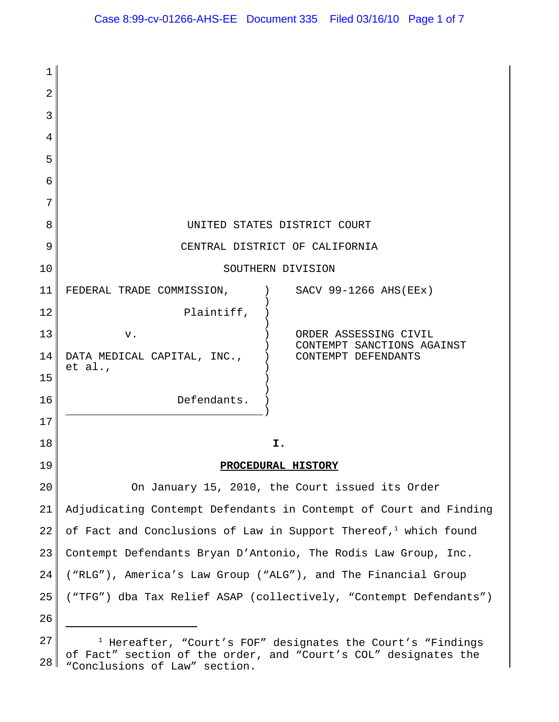| 1  |                                                                                                  |
|----|--------------------------------------------------------------------------------------------------|
| 2  |                                                                                                  |
| 3  |                                                                                                  |
| 4  |                                                                                                  |
| 5  |                                                                                                  |
| 6  |                                                                                                  |
| 7  |                                                                                                  |
| 8  | UNITED STATES DISTRICT COURT                                                                     |
| 9  | CENTRAL DISTRICT OF CALIFORNIA                                                                   |
| 10 | SOUTHERN DIVISION                                                                                |
| 11 | SACV 99-1266 AHS (EEx)<br>FEDERAL TRADE COMMISSION,                                              |
| 12 | Plaintiff,                                                                                       |
| 13 | ORDER ASSESSING CIVIL<br>v.<br>CONTEMPT SANCTIONS AGAINST                                        |
| 14 | DATA MEDICAL CAPITAL, INC.,<br>CONTEMPT DEFENDANTS<br>et al.,                                    |
| 15 |                                                                                                  |
| 16 | Defendants.                                                                                      |
| 17 |                                                                                                  |
| 18 | I.                                                                                               |
| 19 | PROCEDURAL HISTORY                                                                               |
| 20 | On January 15, 2010, the Court issued its Order                                                  |
| 21 | Adjudicating Contempt Defendants in Contempt of Court and Finding                                |
| 22 | of Fact and Conclusions of Law in Support Thereof, which found                                   |
| 23 | Contempt Defendants Bryan D'Antonio, The Rodis Law Group, Inc.                                   |
| 24 | ("RLG"), America's Law Group ("ALG"), and The Financial Group                                    |
| 25 | ("TFG") dba Tax Relief ASAP (collectively, "Contempt Defendants")                                |
| 26 |                                                                                                  |
| 27 | <sup>1</sup> Hereafter, "Court's FOF" designates the Court's "Findings                           |
| 28 | of Fact" section of the order, and "Court's COL" designates the<br>"Conclusions of Law" section. |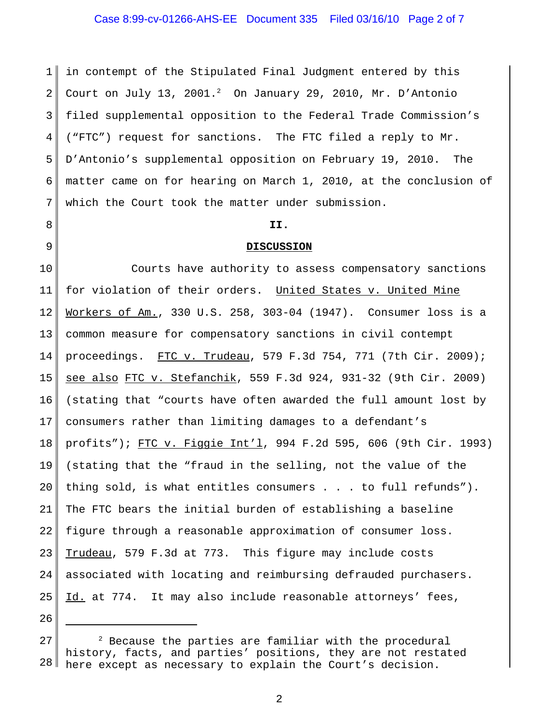## Case 8:99-cv-01266-AHS-EE Document 335 Filed 03/16/10 Page 2 of 7

1 2 3 4 5 6 7 in contempt of the Stipulated Final Judgment entered by this Court on July 13, 2001. $^2$  On January 29, 2010, Mr. D'Antonio filed supplemental opposition to the Federal Trade Commission's ("FTC") request for sanctions. The FTC filed a reply to Mr. D'Antonio's supplemental opposition on February 19, 2010. The matter came on for hearing on March 1, 2010, at the conclusion of which the Court took the matter under submission.

8

9

#### **II.**

#### **DISCUSSION**

10 11 12 13 14 15 16 17 18 19 20 21 22 23 24 25 Courts have authority to assess compensatory sanctions for violation of their orders. United States v. United Mine Workers of Am., 330 U.S. 258, 303-04 (1947). Consumer loss is a common measure for compensatory sanctions in civil contempt proceedings. FTC v. Trudeau, 579 F.3d 754, 771 (7th Cir. 2009); see also FTC v. Stefanchik, 559 F.3d 924, 931-32 (9th Cir. 2009) (stating that "courts have often awarded the full amount lost by consumers rather than limiting damages to a defendant's profits"); FTC v. Figgie Int'l, 994 F.2d 595, 606 (9th Cir. 1993) (stating that the "fraud in the selling, not the value of the thing sold, is what entitles consumers . . . to full refunds"). The FTC bears the initial burden of establishing a baseline figure through a reasonable approximation of consumer loss. Trudeau, 579 F.3d at 773. This figure may include costs associated with locating and reimbursing defrauded purchasers. Id. at 774. It may also include reasonable attorneys' fees,

<sup>27</sup> 28  $2$  Because the parties are familiar with the procedural history, facts, and parties' positions, they are not restated here except as necessary to explain the Court's decision.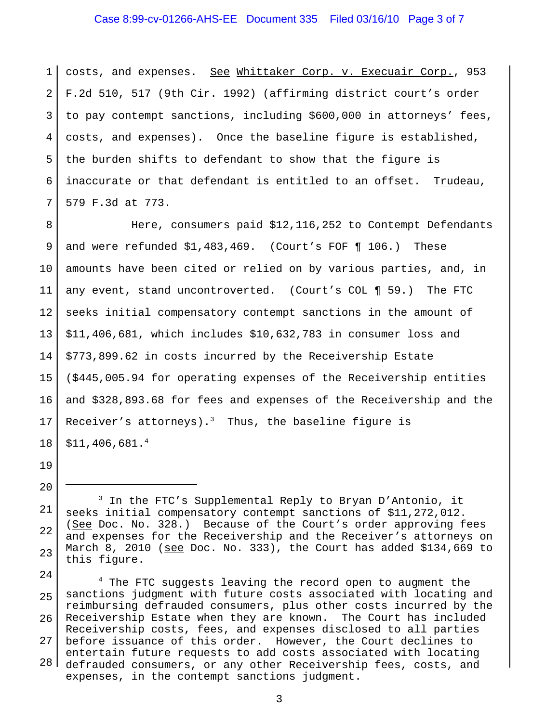## Case 8:99-cv-01266-AHS-EE Document 335 Filed 03/16/10 Page 3 of 7

1 2 3 4 5 6 7 costs, and expenses. See Whittaker Corp. v. Execuair Corp., 953 F.2d 510, 517 (9th Cir. 1992) (affirming district court's order to pay contempt sanctions, including \$600,000 in attorneys' fees, costs, and expenses). Once the baseline figure is established, the burden shifts to defendant to show that the figure is inaccurate or that defendant is entitled to an offset. Trudeau, 579 F.3d at 773.

8 9 10 11 12 13 14 15 16 17 18 Here, consumers paid \$12,116,252 to Contempt Defendants and were refunded \$1,483,469. (Court's FOF ¶ 106.) These amounts have been cited or relied on by various parties, and, in any event, stand uncontroverted. (Court's COL ¶ 59.) The FTC seeks initial compensatory contempt sanctions in the amount of \$11,406,681, which includes \$10,632,783 in consumer loss and \$773,899.62 in costs incurred by the Receivership Estate (\$445,005.94 for operating expenses of the Receivership entities and \$328,893.68 for fees and expenses of the Receivership and the Receiver's attorneys).<sup>3</sup> Thus, the baseline figure is \$11,406,681.4

19

20

21 22 23 3 In the FTC's Supplemental Reply to Bryan D'Antonio, it seeks initial compensatory contempt sanctions of \$11,272,012. (See Doc. No. 328.) Because of the Court's order approving fees and expenses for the Receivership and the Receiver's attorneys on March 8, 2010 (see Doc. No. 333), the Court has added \$134,669 to this figure.

24 25 26 27 28 <sup>4</sup> The FTC suggests leaving the record open to augment the sanctions judgment with future costs associated with locating and reimbursing defrauded consumers, plus other costs incurred by the Receivership Estate when they are known. The Court has included Receivership costs, fees, and expenses disclosed to all parties before issuance of this order. However, the Court declines to entertain future requests to add costs associated with locating defrauded consumers, or any other Receivership fees, costs, and expenses, in the contempt sanctions judgment.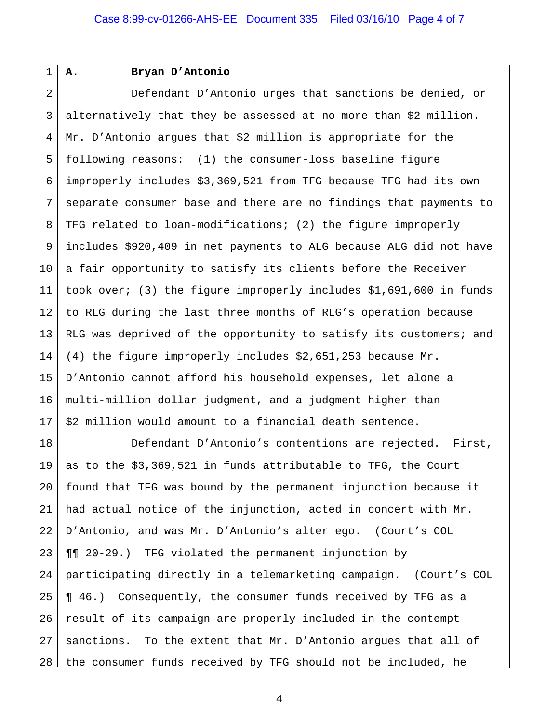1

#### **A. Bryan D'Antonio**

2 3 4 5 6 7 8 9 10 11 12 13 14 15 16 17 Defendant D'Antonio urges that sanctions be denied, or alternatively that they be assessed at no more than \$2 million. Mr. D'Antonio argues that \$2 million is appropriate for the following reasons: (1) the consumer-loss baseline figure improperly includes \$3,369,521 from TFG because TFG had its own separate consumer base and there are no findings that payments to TFG related to loan-modifications; (2) the figure improperly includes \$920,409 in net payments to ALG because ALG did not have a fair opportunity to satisfy its clients before the Receiver took over; (3) the figure improperly includes \$1,691,600 in funds to RLG during the last three months of RLG's operation because RLG was deprived of the opportunity to satisfy its customers; and (4) the figure improperly includes \$2,651,253 because Mr. D'Antonio cannot afford his household expenses, let alone a multi-million dollar judgment, and a judgment higher than \$2 million would amount to a financial death sentence.

18 19 20 21 22 23 24 25 26 27 28 Defendant D'Antonio's contentions are rejected. First, as to the \$3,369,521 in funds attributable to TFG, the Court found that TFG was bound by the permanent injunction because it had actual notice of the injunction, acted in concert with Mr. D'Antonio, and was Mr. D'Antonio's alter ego. (Court's COL ¶¶ 20-29.) TFG violated the permanent injunction by participating directly in a telemarketing campaign. (Court's COL ¶ 46.) Consequently, the consumer funds received by TFG as a result of its campaign are properly included in the contempt sanctions. To the extent that Mr. D'Antonio argues that all of the consumer funds received by TFG should not be included, he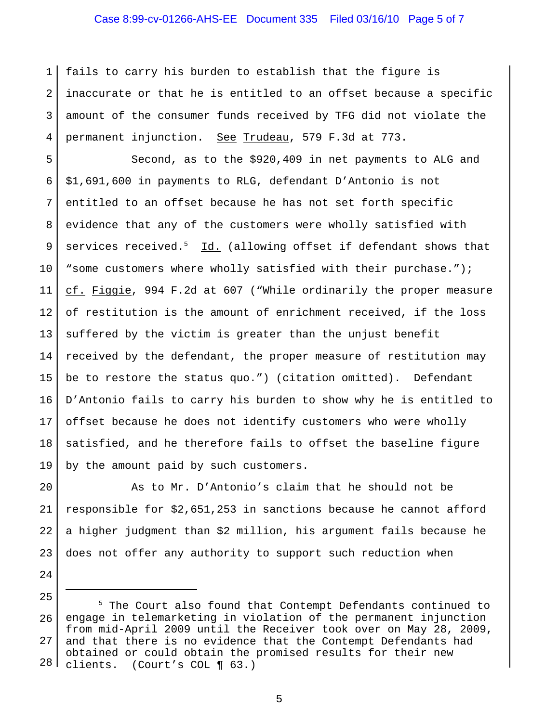### Case 8:99-cv-01266-AHS-EE Document 335 Filed 03/16/10 Page 5 of 7

1 2 3 4 fails to carry his burden to establish that the figure is inaccurate or that he is entitled to an offset because a specific amount of the consumer funds received by TFG did not violate the permanent injunction. See Trudeau, 579 F.3d at 773.

5 6 7 8 9 10 11 12 13 14 15 16 17 18 19 Second, as to the \$920,409 in net payments to ALG and \$1,691,600 in payments to RLG, defendant D'Antonio is not entitled to an offset because he has not set forth specific evidence that any of the customers were wholly satisfied with services received.<sup>5</sup> Id. (allowing offset if defendant shows that "some customers where wholly satisfied with their purchase."); cf. Figgie, 994 F.2d at 607 ("While ordinarily the proper measure of restitution is the amount of enrichment received, if the loss suffered by the victim is greater than the unjust benefit received by the defendant, the proper measure of restitution may be to restore the status quo.") (citation omitted). Defendant D'Antonio fails to carry his burden to show why he is entitled to offset because he does not identify customers who were wholly satisfied, and he therefore fails to offset the baseline figure by the amount paid by such customers.

20 21 22 23 As to Mr. D'Antonio's claim that he should not be responsible for \$2,651,253 in sanctions because he cannot afford a higher judgment than \$2 million, his argument fails because he does not offer any authority to support such reduction when

24

<sup>25</sup> 26 27 28 <sup>5</sup> The Court also found that Contempt Defendants continued to engage in telemarketing in violation of the permanent injunction from mid-April 2009 until the Receiver took over on May 28, 2009, and that there is no evidence that the Contempt Defendants had obtained or could obtain the promised results for their new clients. (Court's COL ¶ 63.)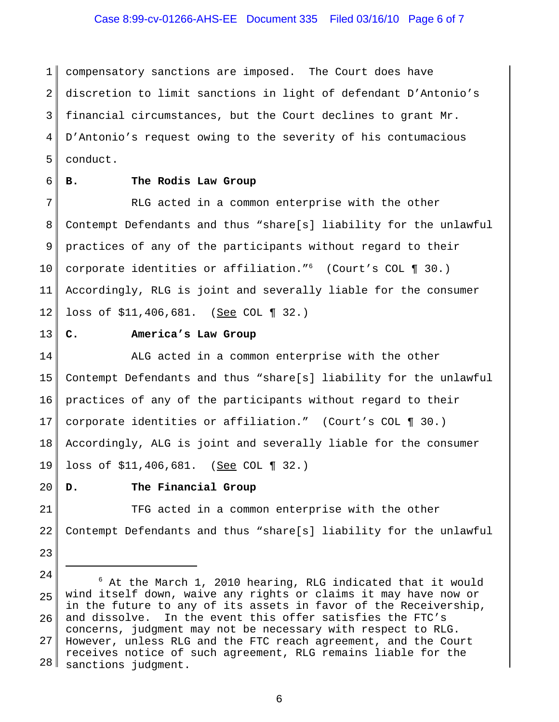## Case 8:99-cv-01266-AHS-EE Document 335 Filed 03/16/10 Page 6 of 7

1 2 3 4 5 compensatory sanctions are imposed. The Court does have discretion to limit sanctions in light of defendant D'Antonio's financial circumstances, but the Court declines to grant Mr. D'Antonio's request owing to the severity of his contumacious conduct.

6

## **B. The Rodis Law Group**

7 8 9 10 11 12 RLG acted in a common enterprise with the other Contempt Defendants and thus "share[s] liability for the unlawful practices of any of the participants without regard to their corporate identities or affiliation."6 (Court's COL ¶ 30.) Accordingly, RLG is joint and severally liable for the consumer loss of \$11,406,681. (See COL ¶ 32.)

13

### **C. America's Law Group**

14 15 16 17 18 19 ALG acted in a common enterprise with the other Contempt Defendants and thus "share[s] liability for the unlawful practices of any of the participants without regard to their corporate identities or affiliation." (Court's COL ¶ 30.) Accordingly, ALG is joint and severally liable for the consumer loss of \$11,406,681. (See COL ¶ 32.)

20

#### **D. The Financial Group**

21 22 TFG acted in a common enterprise with the other Contempt Defendants and thus "share[s] liability for the unlawful

23

<sup>24</sup>

<sup>25</sup> 26 27 28  $6$  At the March 1, 2010 hearing, RLG indicated that it would wind itself down, waive any rights or claims it may have now or in the future to any of its assets in favor of the Receivership, and dissolve. In the event this offer satisfies the FTC's concerns, judgment may not be necessary with respect to RLG. However, unless RLG and the FTC reach agreement, and the Court receives notice of such agreement, RLG remains liable for the sanctions judgment.